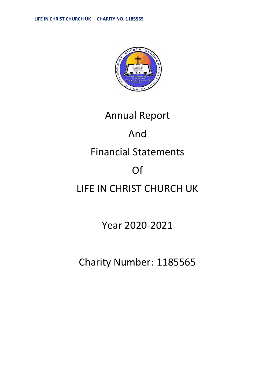

# Annual Report And Financial Statements Of LIFE IN CHRIST CHURCH UK

### Year 2020-2021

## Charity Number: 1185565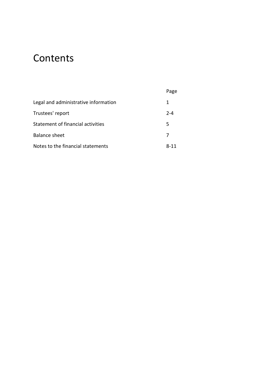### **Contents**

|                                      | Page    |
|--------------------------------------|---------|
| Legal and administrative information | 1       |
| Trustees' report                     | $2 - 4$ |
| Statement of financial activities    | 5       |
| <b>Balance sheet</b>                 |         |
| Notes to the financial statements    | 8-11    |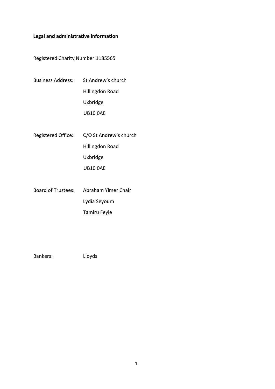#### <span id="page-2-0"></span>**Legal and administrative information**

Registered Charity Number:1185565

- Business Address: St Andrew's church Hillingdon Road Uxbridge UB10 0AE
- Registered Office: C/O St Andrew's church Hillingdon Road Uxbridge UB10 0AE
- Board of Trustees: Abraham Yimer Chair Lydia Seyoum Tamiru Feyie

Bankers: Lloyds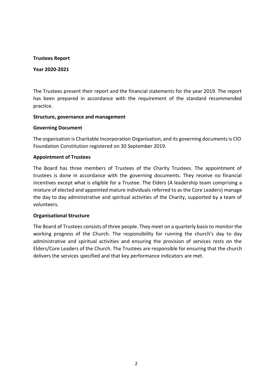#### **Trustees Report**

#### **Year 2020-2021**

The Trustees present their report and the financial statements for the year 2019. The report has been prepared in accordance with the requirement of the standard recommended practice.

#### **Structure, governance and management**

#### **Governing Document**

The organisation is Charitable Incorporation Organisation, and its governing documentsis CIO Foundation Constitution registered on 30 September 2019.

#### **Appointment of Trustees**

The Board has three members of Trustees of the Charity Trustees. The appointment of trustees is done in accordance with the governing documents. They receive no financial incentives except what is eligible for a Trustee. The Elders (A leadership team comprising a mixture of elected and appointed mature individuals referred to asthe Core Leaders) manage the day to day administrative and spiritual activities of the Charity, supported by a team of volunteers.

#### **Organisational Structure**

The Board of Trustees consists of three people. They meet on a quarterly basis to monitor the working progress of the Church. The responsibility for running the church's day to day administrative and spiritual activities and ensuring the provision of services rests on the Elders/Core Leaders of the Church. The Trustees are responsible for ensuring that the church delivers the services specified and that key performance indicators are met.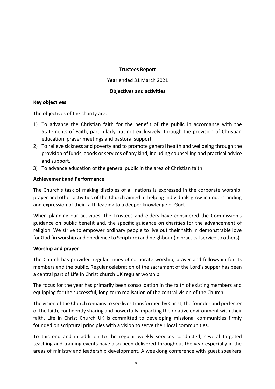#### **Trustees Report**

**Year** ended 31 March 2021

#### **Objectives and activities**

#### **Key objectives**

<span id="page-4-0"></span>The objectives of the charity are:

- 1) To advance the Christian faith for the benefit of the public in accordance with the Statements of Faith, particularly but not exclusively, through the provision of Christian education, prayer meetings and pastoral support.
- 2) To relieve sickness and poverty and to promote general health and wellbeing through the provision of funds, goods or services of any kind, including counselling and practical advice and support.
- 3) To advance education of the general public in the area of Christian faith.

#### **Achievement and Performance**

The Church's task of making disciples of all nations is expressed in the corporate worship, prayer and other activities of the Church aimed at helping individuals grow in understanding and expression of their faith leading to a deeper knowledge of God.

When planning our activities, the Trustees and elders have considered the Commission's guidance on public benefit and, the specific guidance on charities for the advancement of religion. We strive to empower ordinary people to live out their faith in demonstrable love for God (in worship and obedience to Scripture) and neighbour (in practical service to others).

#### **Worship and prayer**

The Church has provided regular times of corporate worship, prayer and fellowship for its members and the public. Regular celebration of the sacrament of the Lord's supper has been a central part of Life in Christ church UK regular worship.

The focus for the year has primarily been consolidation in the faith of existing members and equipping for the successful, long-term realisation of the central vision of the Church.

The vision of the Church remains to see lives transformed by Christ, the founder and perfecter of the faith, confidently sharing and powerfully impacting their native environment with their faith. Life in Christ Church UK is committed to developing missional communities firmly founded on scriptural principles with a vision to serve their local communities.

To this end and in addition to the regular weekly services conducted, several targeted teaching and training events have also been delivered throughout the year especially in the areas of ministry and leadership development. A weeklong conference with guest speakers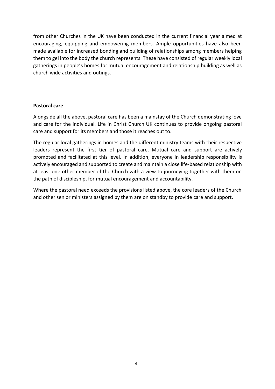from other Churches in the UK have been conducted in the current financial year aimed at encouraging, equipping and empowering members. Ample opportunities have also been made available for increased bonding and building of relationships among members helping them to gel into the body the church represents. These have consisted of regular weekly local gatherings in people's homes for mutual encouragement and relationship building as well as church wide activities and outings.

#### **Pastoral care**

Alongside all the above, pastoral care has been a mainstay of the Church demonstrating love and care for the individual. Life in Christ Church UK continues to provide ongoing pastoral care and support for its members and those it reaches out to.

The regular local gatherings in homes and the different ministry teams with their respective leaders represent the first tier of pastoral care. Mutual care and support are actively promoted and facilitated at this level. In addition, everyone in leadership responsibility is actively encouraged and supported to create and maintain a close life-based relationship with at least one other member of the Church with a view to journeying together with them on the path of discipleship, for mutual encouragement and accountability.

Where the pastoral need exceeds the provisions listed above, the core leaders of the Church and other senior ministers assigned by them are on standby to provide care and support.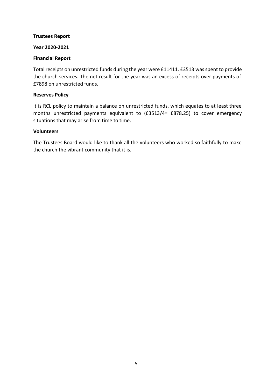#### **Trustees Report**

#### **Year 2020-2021**

#### **Financial Report**

Total receipts on unrestricted funds during the year were £11411. £3513 was spent to provide the church services. The net result for the year was an excess of receipts over payments of £7898 on unrestricted funds.

#### **Reserves Policy**

It is RCL policy to maintain a balance on unrestricted funds, which equates to at least three months unrestricted payments equivalent to (£3513/4= £878.25) to cover emergency situations that may arise from time to time.

#### **Volunteers**

The Trustees Board would like to thank all the volunteers who worked so faithfully to make the church the vibrant community that it is.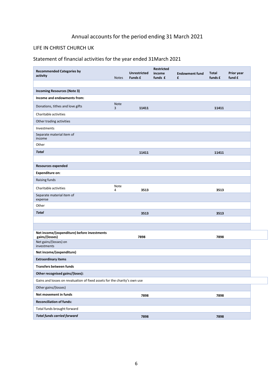### Annual accounts for the period ending 31 March 2021

#### LIFE IN CHRIST CHURCH UK

#### Statement of financial activities for the year ended 31March 2021

| <b>Recommended Categories by</b>                                          |                  | <b>Unrestricted</b> | <b>Restricted</b><br>income | <b>Endowment fund</b> | Total   | Prior year |
|---------------------------------------------------------------------------|------------------|---------------------|-----------------------------|-----------------------|---------|------------|
| activity                                                                  | <b>Notes</b>     | Funds £             | funds £                     | £                     | funds £ | fund £     |
|                                                                           |                  |                     |                             |                       |         |            |
| <b>Incoming Resources (Note 3)</b>                                        |                  |                     |                             |                       |         |            |
| Income and endowments from:                                               |                  |                     |                             |                       |         |            |
| Donations, tithes and love gifts                                          | <b>Note</b><br>3 | 11411               |                             |                       | 11411   |            |
| Charitable activities                                                     |                  |                     |                             |                       |         |            |
| Other trading activities                                                  |                  |                     |                             |                       |         |            |
| Investments                                                               |                  |                     |                             |                       |         |            |
| Separate material item of<br>income                                       |                  |                     |                             |                       |         |            |
| Other                                                                     |                  |                     |                             |                       |         |            |
| <b>Total</b>                                                              |                  | 11411               |                             |                       | 11411   |            |
|                                                                           |                  |                     |                             |                       |         |            |
| <b>Resources expended</b>                                                 |                  |                     |                             |                       |         |            |
| <b>Expenditure on:</b>                                                    |                  |                     |                             |                       |         |            |
| Raising funds                                                             |                  |                     |                             |                       |         |            |
| Charitable activities                                                     | Note<br>4        | 3513                |                             |                       | 3513    |            |
| Separate material item of<br>expense                                      |                  |                     |                             |                       |         |            |
| Other                                                                     |                  |                     |                             |                       |         |            |
| Total                                                                     |                  | 3513                |                             |                       | 3513    |            |
|                                                                           |                  |                     |                             |                       |         |            |
|                                                                           |                  |                     |                             |                       |         |            |
| Net income/(expenditure) before investments<br>gains/(losses)             |                  | 7898                |                             |                       | 7898    |            |
| Net gains/(losses) on<br>investments                                      |                  |                     |                             |                       |         |            |
| Net income/(expenditure)                                                  |                  |                     |                             |                       |         |            |
| <b>Extraordinary items</b>                                                |                  |                     |                             |                       |         |            |
| <b>Transfers between funds</b>                                            |                  |                     |                             |                       |         |            |
| Other recognised gains/(loses):                                           |                  |                     |                             |                       |         |            |
| Gains and losses on revaluation of fixed assets for the charity's own use |                  |                     |                             |                       |         |            |
| Other gains/(losses)                                                      |                  |                     |                             |                       |         |            |
| Net movement in funds                                                     |                  | 7898                |                             |                       | 7898    |            |
| <b>Reconciliation of funds:</b>                                           |                  |                     |                             |                       |         |            |
| Total funds brought forward                                               |                  |                     |                             |                       |         |            |
| <b>Total funds carried forward</b>                                        |                  | 7898                |                             |                       | 7898    |            |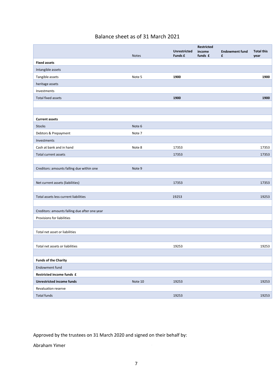#### Balance sheet as of 31 March 2021

|                                               |              | <b>Unrestricted</b> | Restricted<br>income | <b>Endowment fund</b> | <b>Total this</b> |
|-----------------------------------------------|--------------|---------------------|----------------------|-----------------------|-------------------|
|                                               | <b>Notes</b> | Funds £             | funds £              | £                     | year              |
| <b>Fixed assets</b>                           |              |                     |                      |                       |                   |
| Intangible assets                             |              |                     |                      |                       |                   |
| Tangible assets                               | Note 5       | 1900                |                      |                       | 1900              |
| heritage assets                               |              |                     |                      |                       |                   |
| Investments                                   |              |                     |                      |                       |                   |
| <b>Total fixed assets</b>                     |              | 1900                |                      |                       | 1900              |
|                                               |              |                     |                      |                       |                   |
|                                               |              |                     |                      |                       |                   |
| <b>Current assets</b>                         |              |                     |                      |                       |                   |
| <b>Stocks</b>                                 | Note 6       |                     |                      |                       |                   |
| Debtors & Prepayment                          | Note 7       |                     |                      |                       |                   |
| Investments                                   |              |                     |                      |                       |                   |
| Cash at bank and in hand                      | Note 8       | 17353               |                      |                       | 17353             |
| Total current assets                          |              | 17353               |                      |                       | 17353             |
|                                               |              |                     |                      |                       |                   |
| Creditors: amounts falling due within one     | Note 9       |                     |                      |                       |                   |
|                                               |              |                     |                      |                       |                   |
| Net current assets (liabilities)              |              | 17353               |                      |                       | 17353             |
|                                               |              |                     |                      |                       |                   |
| Total assets less current liabilities         |              | 19253               |                      |                       | 19253             |
|                                               |              |                     |                      |                       |                   |
| Creditors: amounts falling due after one year |              |                     |                      |                       |                   |
| Provisions for liabilities                    |              |                     |                      |                       |                   |
|                                               |              |                     |                      |                       |                   |
| Total net asset or liabilities                |              |                     |                      |                       |                   |
|                                               |              |                     |                      |                       |                   |
| Total net assets or liabilities               |              | 19253               |                      |                       | 19253             |
|                                               |              |                     |                      |                       |                   |
| <b>Funds of the Charity</b>                   |              |                     |                      |                       |                   |
| Endowment fund                                |              |                     |                      |                       |                   |
| Restricted income funds £                     |              |                     |                      |                       |                   |
| <b>Unrestricted income funds</b>              | Note 10      | 19253               |                      |                       | 19253             |
| Revaluation reserve                           |              |                     |                      |                       |                   |
| <b>Total funds</b>                            |              | 19253               |                      |                       | 19253             |

Approved by the trustees on 31 March 2020 and signed on their behalf by:

Abraham Yimer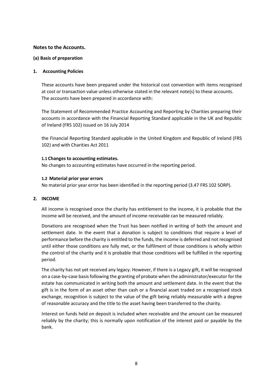#### **Notes to the Accounts.**

#### **(a) Basis of preparation**

#### **1. Accounting Policies**

These accounts have been prepared under the historical cost convention with items recognised at cost or transaction value unless otherwise stated in the relevant note(s) to these accounts. The accounts have been prepared in accordance with:

The Statement of Recommended Practice Accounting and Reporting by Charities preparing their accounts in accordance with the Financial Reporting Standard applicable in the UK and Republic of Ireland (FRS 102) issued on 16 July 2014

the Financial Reporting Standard applicable in the United Kingdom and Republic of Ireland (FRS 102) and with Charities Act 2011

#### **1.1 Changes to accounting estimates.**

No changes to accounting estimates have occurred in the reporting period.

#### **1.2 Material prior year errors**

No material prior year error has been identified in the reporting period (3.47 FRS 102 SORP).

#### **2. INCOME**

All income is recognised once the charity has entitlement to the income, it is probable that the income will be received, and the amount of income receivable can be measured reliably.

Donations are recognised when the Trust has been notified in writing of both the amount and settlement date. In the event that a donation is subject to conditions that require a level of performance before the charity is entitled to the funds, the income is deferred and not recognised until either those conditions are fully met, or the fulfilment of those conditions is wholly within the control of the charity and it is probable that those conditions will be fulfilled in the reporting period.

The charity has not yet received any legacy. However, if there is a Legacy gift, it will be recognised on a case-by-case basisfollowing the granting of probate when the administrator/executor for the estate has communicated in writing both the amount and settlement date. In the event that the gift is in the form of an asset other than cash or a financial asset traded on a recognised stock exchange, recognition is subject to the value of the gift being reliably measurable with a degree of reasonable accuracy and the title to the asset having been transferred to the charity.

Interest on funds held on deposit is included when receivable and the amount can be measured reliably by the charity; this is normally upon notification of the interest paid or payable by the bank.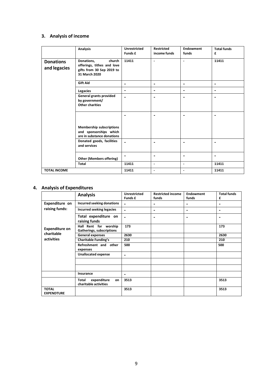#### **3. Analysis of income**

|                                  | <b>Analysis</b>                                                                                  | <b>Unrestricted</b><br>Funds £ | <b>Restricted</b><br>income funds | <b>Endowment</b><br>funds | <b>Total funds</b><br>£  |
|----------------------------------|--------------------------------------------------------------------------------------------------|--------------------------------|-----------------------------------|---------------------------|--------------------------|
| <b>Donations</b><br>and legacies | church<br>Donations,<br>offerings, tithes and love<br>gifts from 30 Sep 2019 to<br>31 March 2020 | 11411                          | $\blacksquare$                    | $\blacksquare$            | 11411                    |
|                                  | <b>Gift Aid</b>                                                                                  | $\overline{\phantom{0}}$       | $\blacksquare$                    | $\blacksquare$            | $\overline{\phantom{0}}$ |
|                                  | Legacies                                                                                         | $\qquad \qquad \blacksquare$   | $\blacksquare$                    | $\overline{\phantom{a}}$  | $\overline{\phantom{0}}$ |
|                                  | <b>General grants provided</b><br>by government/<br><b>Other charities</b>                       |                                |                                   |                           |                          |
|                                  |                                                                                                  |                                |                                   | $\blacksquare$            |                          |
|                                  | Membership subscriptions<br>and sponsorships which<br>are in substance donations                 |                                |                                   |                           |                          |
|                                  | Donated goods, facilities<br>and services                                                        |                                | $\blacksquare$                    | $\overline{\phantom{0}}$  |                          |
|                                  | <b>Other (Members offering)</b>                                                                  |                                | $\blacksquare$                    | $\overline{\phantom{0}}$  |                          |
|                                  | <b>Total</b>                                                                                     | 11411                          | $\blacksquare$                    | $\blacksquare$            | 11411                    |
| <b>TOTAL INCOME</b>              |                                                                                                  | 11411                          | $\blacksquare$                    | $\blacksquare$            | 11411                    |

#### **4. Analysis of Expenditures**

|                                   | <b>Analysis</b>                                     | <b>Unrestricted</b><br>Funds £ | <b>Restricted income</b><br>funds | Endowment<br>funds           | <b>Total funds</b><br>£ |
|-----------------------------------|-----------------------------------------------------|--------------------------------|-----------------------------------|------------------------------|-------------------------|
| Expenditure on                    | Incurred seeking donations                          | $\blacksquare$                 | $\overline{\phantom{0}}$          | $\qquad \qquad \blacksquare$ | ۰                       |
| raising funds:                    | Incurred seeking legacies                           | $\blacksquare$                 | $\blacksquare$                    | $\blacksquare$               | ۰                       |
|                                   | Total expenditure on<br>raising funds               |                                |                                   | $\blacksquare$               | ٠                       |
| <b>Expenditure on</b>             | Hall Rent for worship<br>Gatherings, subscriptions  | 173                            |                                   |                              | 173                     |
| charitable                        | <b>General expenses</b>                             | 2630                           |                                   |                              | 2630                    |
| activities                        | <b>Charitable Funding's</b>                         | 210                            |                                   |                              | 210                     |
|                                   | Refreshment and other<br>expenses                   | 500                            |                                   |                              | 500                     |
|                                   | <b>Unallocated expense</b>                          | $\blacksquare$                 |                                   |                              |                         |
|                                   |                                                     |                                |                                   |                              |                         |
|                                   |                                                     |                                |                                   |                              |                         |
|                                   | Insurance                                           | $\blacksquare$                 |                                   |                              |                         |
|                                   | expenditure<br>Total<br>on<br>charitable activities | 3513                           |                                   |                              | 3513                    |
| <b>TOTAL</b><br><b>EXPENDTURE</b> |                                                     | 3513                           |                                   |                              | 3513                    |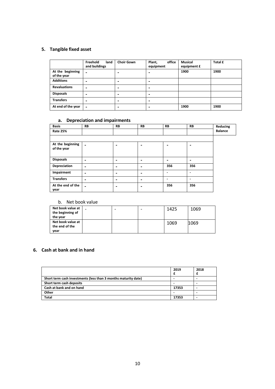#### **5. Tangible fixed asset**

|                                 | Freehold<br>land<br>and buildings | <b>Choir Gown</b>        | office<br>Plant,<br>equipment | Musical<br>equipment £ | Total £ |
|---------------------------------|-----------------------------------|--------------------------|-------------------------------|------------------------|---------|
| At the beginning<br>of the year |                                   |                          |                               | 1900                   | 1900    |
| <b>Additions</b>                | -                                 | $\overline{\phantom{0}}$ | -                             |                        |         |
| <b>Revaluations</b>             | $\,$                              | $\overline{\phantom{0}}$ | ٠                             |                        |         |
| <b>Disposals</b>                | -                                 | -                        |                               |                        |         |
| <b>Transfers</b>                | -                                 | -                        | ٠                             |                        |         |
| At end of the year              | -                                 | -                        |                               | 1900                   | 1900    |

#### **a. Depreciation and impairments**

| <b>Basis</b>                    | <b>RB</b>                | <b>RB</b>                | <b>RB</b>                    | <b>RB</b> | <b>RB</b>      | Reducing       |
|---------------------------------|--------------------------|--------------------------|------------------------------|-----------|----------------|----------------|
| <b>Rate 25%</b>                 |                          |                          |                              |           |                | <b>Balance</b> |
|                                 |                          |                          |                              |           |                |                |
| At the beginning<br>of the year | $\blacksquare$           |                          | -                            |           |                |                |
| <b>Disposals</b>                | -                        | ٠                        | -                            |           | $\blacksquare$ |                |
| <b>Depreciation</b>             | $\overline{\phantom{0}}$ | $\overline{\phantom{0}}$ | $\qquad \qquad \blacksquare$ | 356       | 356            |                |
| Impairment                      | $\,$                     | $\overline{\phantom{0}}$ | $\qquad \qquad \blacksquare$ |           | ٠              |                |
| <b>Transfers</b>                | $\overline{\phantom{0}}$ | $\overline{\phantom{0}}$ | $\qquad \qquad \blacksquare$ |           |                |                |
| At the end of the<br>year       | $\blacksquare$           |                          | $\blacksquare$               | 356       | 356            |                |

#### b. Net book value

| Net book value at<br>the beginning of<br>the year | - | 1425 | 1069 |
|---------------------------------------------------|---|------|------|
| Net book value at<br>the end of the<br>year       |   | 1069 | 1069 |

#### **6. Cash at bank and in hand**

|                                                                | 2019  | 2018 |
|----------------------------------------------------------------|-------|------|
| Short term cash investments (less than 3 months maturity date) |       |      |
| Short term cash deposits                                       |       |      |
| Cash at bank and on hand                                       | 17353 |      |
| Other                                                          |       |      |
| <b>Total</b>                                                   | 17353 |      |